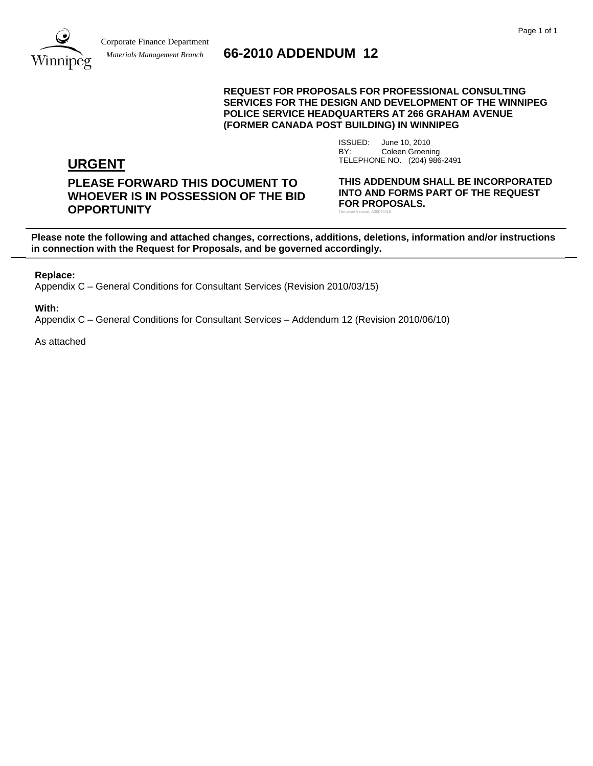

# **66-2010 ADDENDUM 12**

#### **REQUEST FOR PROPOSALS FOR PROFESSIONAL CONSULTING SERVICES FOR THE DESIGN AND DEVELOPMENT OF THE WINNIPEG POLICE SERVICE HEADQUARTERS AT 266 GRAHAM AVENUE (FORMER CANADA POST BUILDING) IN WINNIPEG**

ISSUED: June 10, 2010 BY: Coleen Groening **URGENT** TELEPHONE NO. (204) 986-2491

# **PLEASE FORWARD THIS DOCUMENT TO WHOEVER IS IN POSSESSION OF THE BID OPPORTUNITY**

**THIS ADDENDUM SHALL BE INCORPORATED INTO AND FORMS PART OF THE REQUEST FOR PROPOSALS.**  Template Version: A20070419

**Please note the following and attached changes, corrections, additions, deletions, information and/or instructions in connection with the Request for Proposals, and be governed accordingly.** 

**Replace:** 

Appendix C – General Conditions for Consultant Services (Revision 2010/03/15)

**With:** 

Appendix C – General Conditions for Consultant Services – Addendum 12 (Revision 2010/06/10)

As attached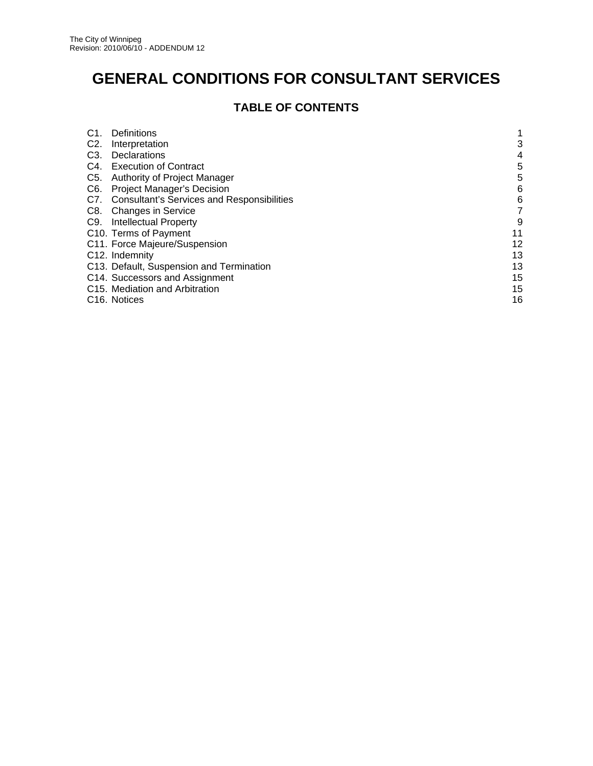# **GENERAL CONDITIONS FOR CONSULTANT SERVICES**

# **TABLE OF CONTENTS**

| C <sub>1</sub>   | Definitions                                    |    |
|------------------|------------------------------------------------|----|
| C <sub>2</sub> . | Interpretation                                 | 3  |
| C <sub>3</sub> . | Declarations                                   | 4  |
| C4.              | <b>Execution of Contract</b>                   | 5  |
| C5.              | Authority of Project Manager                   | 5  |
| C6.              | <b>Project Manager's Decision</b>              | 6  |
|                  | C7. Consultant's Services and Responsibilities | 6  |
|                  | C8. Changes in Service                         | 7  |
|                  | C9. Intellectual Property                      | 9  |
|                  | C10. Terms of Payment                          | 11 |
|                  | C11. Force Majeure/Suspension                  | 12 |
|                  | C <sub>12</sub> . Indemnity                    | 13 |
|                  | C13. Default, Suspension and Termination       | 13 |
|                  | C14. Successors and Assignment                 | 15 |
|                  | C15. Mediation and Arbitration                 | 15 |
|                  | C <sub>16</sub> . Notices                      | 16 |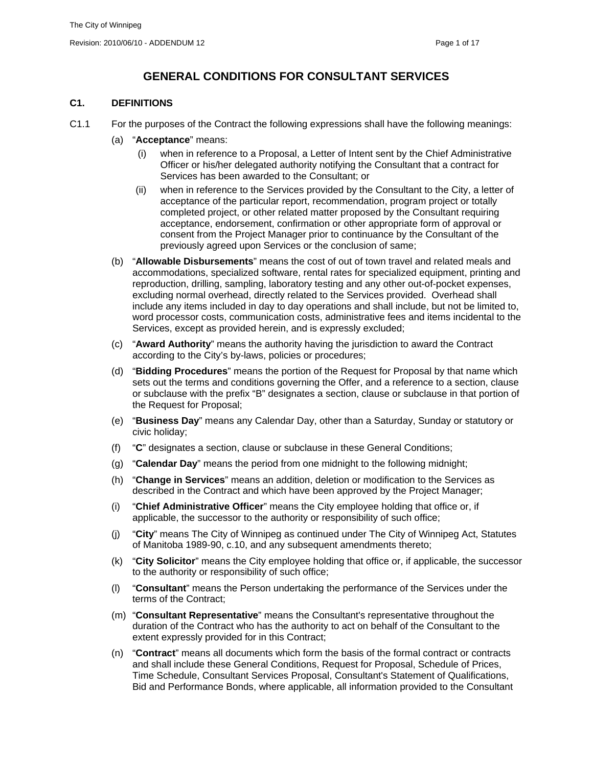# **GENERAL CONDITIONS FOR CONSULTANT SERVICES**

# **C1. DEFINITIONS**

- C1.1 For the purposes of the Contract the following expressions shall have the following meanings:
	- (a) "**Acceptance**" means:
		- (i) when in reference to a Proposal, a Letter of Intent sent by the Chief Administrative Officer or his/her delegated authority notifying the Consultant that a contract for Services has been awarded to the Consultant; or
		- (ii) when in reference to the Services provided by the Consultant to the City, a letter of acceptance of the particular report, recommendation, program project or totally completed project, or other related matter proposed by the Consultant requiring acceptance, endorsement, confirmation or other appropriate form of approval or consent from the Project Manager prior to continuance by the Consultant of the previously agreed upon Services or the conclusion of same;
	- (b) "**Allowable Disbursements**" means the cost of out of town travel and related meals and accommodations, specialized software, rental rates for specialized equipment, printing and reproduction, drilling, sampling, laboratory testing and any other out-of-pocket expenses, excluding normal overhead, directly related to the Services provided. Overhead shall include any items included in day to day operations and shall include, but not be limited to, word processor costs, communication costs, administrative fees and items incidental to the Services, except as provided herein, and is expressly excluded;
	- (c) "**Award Authority**" means the authority having the jurisdiction to award the Contract according to the City's by-laws, policies or procedures;
	- (d) "**Bidding Procedures**" means the portion of the Request for Proposal by that name which sets out the terms and conditions governing the Offer, and a reference to a section, clause or subclause with the prefix "B" designates a section, clause or subclause in that portion of the Request for Proposal;
	- (e) "**Business Day**" means any Calendar Day, other than a Saturday, Sunday or statutory or civic holiday;
	- (f) "**C**" designates a section, clause or subclause in these General Conditions;
	- (g) "**Calendar Day**" means the period from one midnight to the following midnight;
	- (h) "**Change in Services**" means an addition, deletion or modification to the Services as described in the Contract and which have been approved by the Project Manager;
	- (i) "**Chief Administrative Officer**" means the City employee holding that office or, if applicable, the successor to the authority or responsibility of such office;
	- (j) "**City**" means The City of Winnipeg as continued under The City of Winnipeg Act, Statutes of Manitoba 1989-90, c.10, and any subsequent amendments thereto;
	- (k) "**City Solicitor**" means the City employee holding that office or, if applicable, the successor to the authority or responsibility of such office;
	- (l) "**Consultant**" means the Person undertaking the performance of the Services under the terms of the Contract;
	- (m) "**Consultant Representative**" means the Consultant's representative throughout the duration of the Contract who has the authority to act on behalf of the Consultant to the extent expressly provided for in this Contract;
	- (n) "**Contract**" means all documents which form the basis of the formal contract or contracts and shall include these General Conditions, Request for Proposal, Schedule of Prices, Time Schedule, Consultant Services Proposal, Consultant's Statement of Qualifications, Bid and Performance Bonds, where applicable, all information provided to the Consultant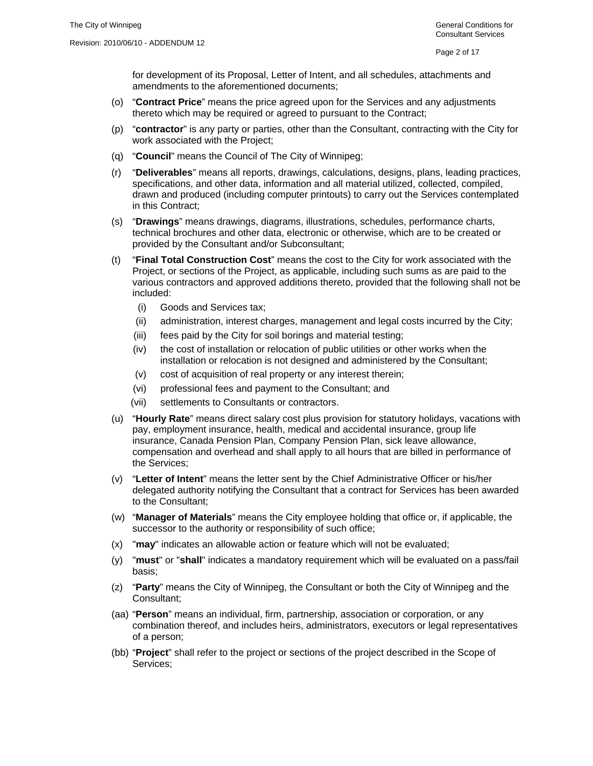for development of its Proposal, Letter of Intent, and all schedules, attachments and amendments to the aforementioned documents;

- (o) "**Contract Price**" means the price agreed upon for the Services and any adjustments thereto which may be required or agreed to pursuant to the Contract;
- (p) "**contractor**" is any party or parties, other than the Consultant, contracting with the City for work associated with the Project;
- (q) "**Council**" means the Council of The City of Winnipeg;
- (r) "**Deliverables**" means all reports, drawings, calculations, designs, plans, leading practices, specifications, and other data, information and all material utilized, collected, compiled, drawn and produced (including computer printouts) to carry out the Services contemplated in this Contract;
- (s) "**Drawings**" means drawings, diagrams, illustrations, schedules, performance charts, technical brochures and other data, electronic or otherwise, which are to be created or provided by the Consultant and/or Subconsultant;
- (t) "**Final Total Construction Cost**" means the cost to the City for work associated with the Project, or sections of the Project, as applicable, including such sums as are paid to the various contractors and approved additions thereto, provided that the following shall not be included:
	- (i) Goods and Services tax;
	- (ii) administration, interest charges, management and legal costs incurred by the City;
	- (iii) fees paid by the City for soil borings and material testing;
	- (iv) the cost of installation or relocation of public utilities or other works when the installation or relocation is not designed and administered by the Consultant;
	- (v) cost of acquisition of real property or any interest therein;
	- (vi) professional fees and payment to the Consultant; and
	- (vii) settlements to Consultants or contractors.
- (u) "**Hourly Rate**" means direct salary cost plus provision for statutory holidays, vacations with pay, employment insurance, health, medical and accidental insurance, group life insurance, Canada Pension Plan, Company Pension Plan, sick leave allowance, compensation and overhead and shall apply to all hours that are billed in performance of the Services;
- (v) "**Letter of Intent**" means the letter sent by the Chief Administrative Officer or his/her delegated authority notifying the Consultant that a contract for Services has been awarded to the Consultant;
- (w) "**Manager of Materials**" means the City employee holding that office or, if applicable, the successor to the authority or responsibility of such office;
- (x) "**may**" indicates an allowable action or feature which will not be evaluated;
- (y) "**must**" or "**shall**" indicates a mandatory requirement which will be evaluated on a pass/fail basis;
- (z) "**Party**" means the City of Winnipeg, the Consultant or both the City of Winnipeg and the Consultant;
- (aa) "**Person**" means an individual, firm, partnership, association or corporation, or any combination thereof, and includes heirs, administrators, executors or legal representatives of a person;
- (bb) "**Project**" shall refer to the project or sections of the project described in the Scope of Services;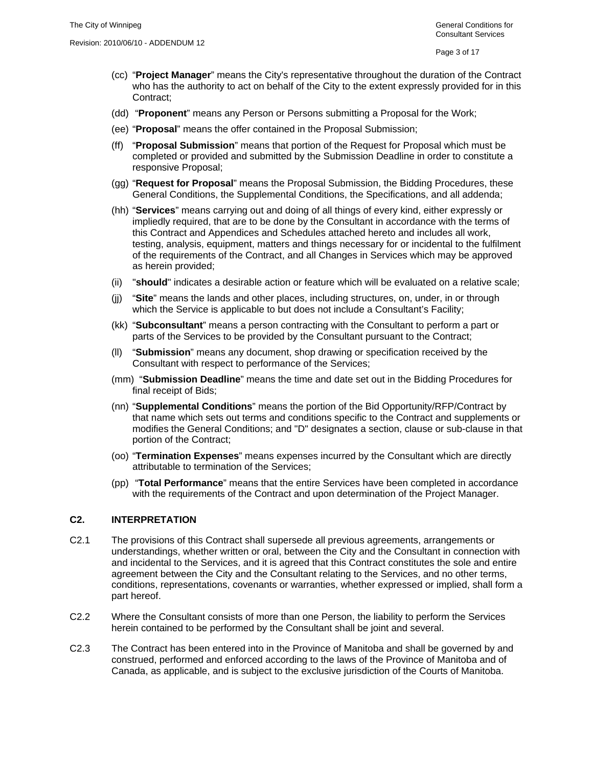- (cc) "**Project Manager**" means the City's representative throughout the duration of the Contract who has the authority to act on behalf of the City to the extent expressly provided for in this Contract;
- (dd) "**Proponent**" means any Person or Persons submitting a Proposal for the Work;
- (ee) "**Proposal**" means the offer contained in the Proposal Submission;
- (ff) "**Proposal Submission**" means that portion of the Request for Proposal which must be completed or provided and submitted by the Submission Deadline in order to constitute a responsive Proposal;
- (gg) "**Request for Proposal**" means the Proposal Submission, the Bidding Procedures, these General Conditions, the Supplemental Conditions, the Specifications, and all addenda;
- (hh) "**Services**" means carrying out and doing of all things of every kind, either expressly or impliedly required, that are to be done by the Consultant in accordance with the terms of this Contract and Appendices and Schedules attached hereto and includes all work, testing, analysis, equipment, matters and things necessary for or incidental to the fulfilment of the requirements of the Contract, and all Changes in Services which may be approved as herein provided;
- (ii) "**should**" indicates a desirable action or feature which will be evaluated on a relative scale;
- (jj) "**Site**" means the lands and other places, including structures, on, under, in or through which the Service is applicable to but does not include a Consultant's Facility;
- (kk) "**Subconsultant**" means a person contracting with the Consultant to perform a part or parts of the Services to be provided by the Consultant pursuant to the Contract;
- (ll) "**Submission**" means any document, shop drawing or specification received by the Consultant with respect to performance of the Services;
- (mm) "**Submission Deadline**" means the time and date set out in the Bidding Procedures for final receipt of Bids;
- (nn) "**Supplemental Conditions**" means the portion of the Bid Opportunity/RFP/Contract by that name which sets out terms and conditions specific to the Contract and supplements or modifies the General Conditions; and "D" designates a section, clause or sub-clause in that portion of the Contract;
- (oo) "**Termination Expenses**" means expenses incurred by the Consultant which are directly attributable to termination of the Services;
- (pp) "**Total Performance**" means that the entire Services have been completed in accordance with the requirements of the Contract and upon determination of the Project Manager.

#### **C2. INTERPRETATION**

- C2.1 The provisions of this Contract shall supersede all previous agreements, arrangements or understandings, whether written or oral, between the City and the Consultant in connection with and incidental to the Services, and it is agreed that this Contract constitutes the sole and entire agreement between the City and the Consultant relating to the Services, and no other terms, conditions, representations, covenants or warranties, whether expressed or implied, shall form a part hereof.
- C2.2 Where the Consultant consists of more than one Person, the liability to perform the Services herein contained to be performed by the Consultant shall be joint and several.
- C2.3 The Contract has been entered into in the Province of Manitoba and shall be governed by and construed, performed and enforced according to the laws of the Province of Manitoba and of Canada, as applicable, and is subject to the exclusive jurisdiction of the Courts of Manitoba.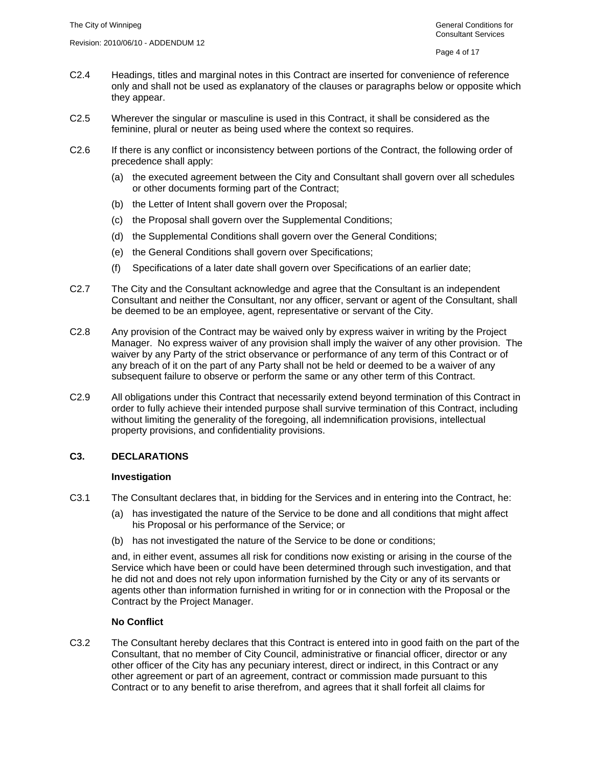- C2.4 Headings, titles and marginal notes in this Contract are inserted for convenience of reference only and shall not be used as explanatory of the clauses or paragraphs below or opposite which they appear.
- C2.5 Wherever the singular or masculine is used in this Contract, it shall be considered as the feminine, plural or neuter as being used where the context so requires.
- C2.6 If there is any conflict or inconsistency between portions of the Contract, the following order of precedence shall apply:
	- (a) the executed agreement between the City and Consultant shall govern over all schedules or other documents forming part of the Contract;
	- (b) the Letter of Intent shall govern over the Proposal;
	- (c) the Proposal shall govern over the Supplemental Conditions;
	- (d) the Supplemental Conditions shall govern over the General Conditions;
	- (e) the General Conditions shall govern over Specifications;
	- (f) Specifications of a later date shall govern over Specifications of an earlier date;
- C2.7 The City and the Consultant acknowledge and agree that the Consultant is an independent Consultant and neither the Consultant, nor any officer, servant or agent of the Consultant, shall be deemed to be an employee, agent, representative or servant of the City.
- C2.8 Any provision of the Contract may be waived only by express waiver in writing by the Project Manager. No express waiver of any provision shall imply the waiver of any other provision. The waiver by any Party of the strict observance or performance of any term of this Contract or of any breach of it on the part of any Party shall not be held or deemed to be a waiver of any subsequent failure to observe or perform the same or any other term of this Contract.
- C2.9 All obligations under this Contract that necessarily extend beyond termination of this Contract in order to fully achieve their intended purpose shall survive termination of this Contract, including without limiting the generality of the foregoing, all indemnification provisions, intellectual property provisions, and confidentiality provisions.

#### **C3. DECLARATIONS**

#### **Investigation**

- C3.1 The Consultant declares that, in bidding for the Services and in entering into the Contract, he:
	- (a) has investigated the nature of the Service to be done and all conditions that might affect his Proposal or his performance of the Service; or
	- (b) has not investigated the nature of the Service to be done or conditions;

and, in either event, assumes all risk for conditions now existing or arising in the course of the Service which have been or could have been determined through such investigation, and that he did not and does not rely upon information furnished by the City or any of its servants or agents other than information furnished in writing for or in connection with the Proposal or the Contract by the Project Manager.

# **No Conflict**

C3.2 The Consultant hereby declares that this Contract is entered into in good faith on the part of the Consultant, that no member of City Council, administrative or financial officer, director or any other officer of the City has any pecuniary interest, direct or indirect, in this Contract or any other agreement or part of an agreement, contract or commission made pursuant to this Contract or to any benefit to arise therefrom, and agrees that it shall forfeit all claims for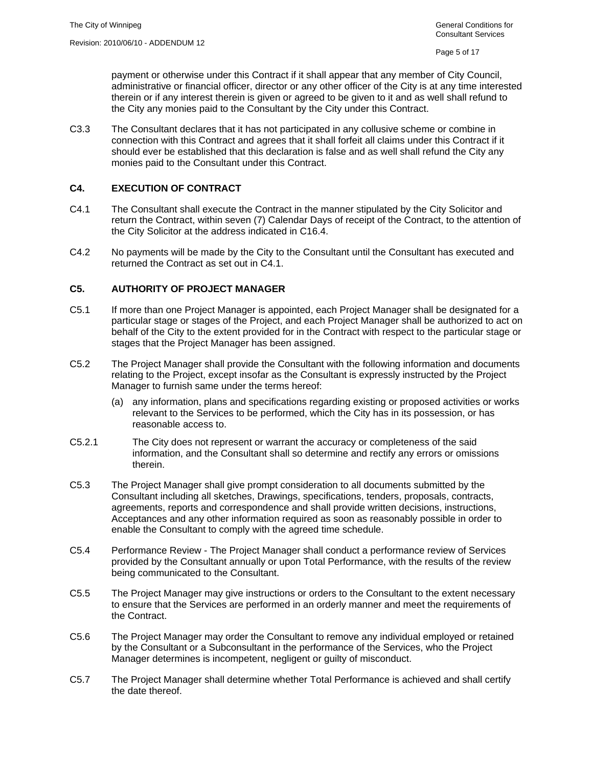payment or otherwise under this Contract if it shall appear that any member of City Council, administrative or financial officer, director or any other officer of the City is at any time interested therein or if any interest therein is given or agreed to be given to it and as well shall refund to the City any monies paid to the Consultant by the City under this Contract.

C3.3 The Consultant declares that it has not participated in any collusive scheme or combine in connection with this Contract and agrees that it shall forfeit all claims under this Contract if it should ever be established that this declaration is false and as well shall refund the City any monies paid to the Consultant under this Contract.

# **C4. EXECUTION OF CONTRACT**

- C4.1 The Consultant shall execute the Contract in the manner stipulated by the City Solicitor and return the Contract, within seven (7) Calendar Days of receipt of the Contract, to the attention of the City Solicitor at the address indicated in C16.4.
- C4.2 No payments will be made by the City to the Consultant until the Consultant has executed and returned the Contract as set out in C4.1.

# **C5. AUTHORITY OF PROJECT MANAGER**

- C5.1 If more than one Project Manager is appointed, each Project Manager shall be designated for a particular stage or stages of the Project, and each Project Manager shall be authorized to act on behalf of the City to the extent provided for in the Contract with respect to the particular stage or stages that the Project Manager has been assigned.
- C5.2 The Project Manager shall provide the Consultant with the following information and documents relating to the Project, except insofar as the Consultant is expressly instructed by the Project Manager to furnish same under the terms hereof:
	- (a) any information, plans and specifications regarding existing or proposed activities or works relevant to the Services to be performed, which the City has in its possession, or has reasonable access to.
- C5.2.1 The City does not represent or warrant the accuracy or completeness of the said information, and the Consultant shall so determine and rectify any errors or omissions therein.
- C5.3 The Project Manager shall give prompt consideration to all documents submitted by the Consultant including all sketches, Drawings, specifications, tenders, proposals, contracts, agreements, reports and correspondence and shall provide written decisions, instructions, Acceptances and any other information required as soon as reasonably possible in order to enable the Consultant to comply with the agreed time schedule.
- C5.4 Performance Review The Project Manager shall conduct a performance review of Services provided by the Consultant annually or upon Total Performance, with the results of the review being communicated to the Consultant.
- C5.5 The Project Manager may give instructions or orders to the Consultant to the extent necessary to ensure that the Services are performed in an orderly manner and meet the requirements of the Contract.
- C5.6 The Project Manager may order the Consultant to remove any individual employed or retained by the Consultant or a Subconsultant in the performance of the Services, who the Project Manager determines is incompetent, negligent or guilty of misconduct.
- C5.7 The Project Manager shall determine whether Total Performance is achieved and shall certify the date thereof.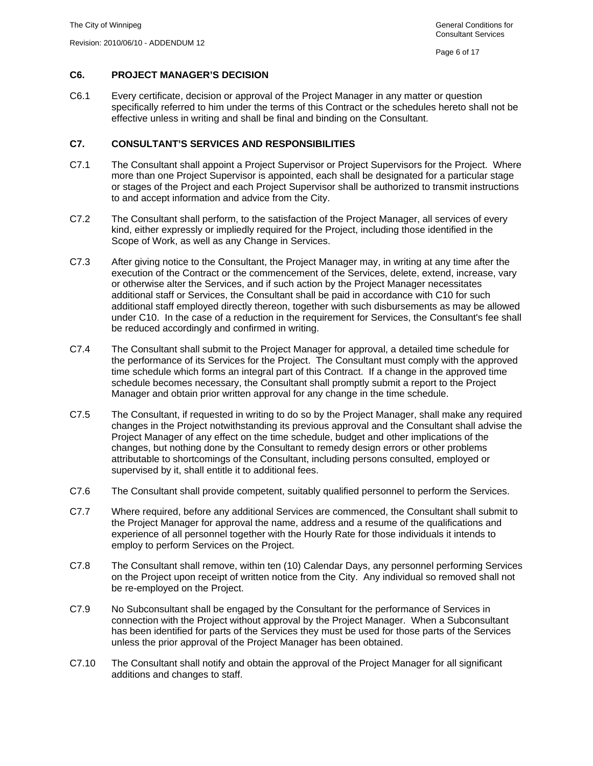## **C6. PROJECT MANAGER'S DECISION**

C6.1 Every certificate, decision or approval of the Project Manager in any matter or question specifically referred to him under the terms of this Contract or the schedules hereto shall not be effective unless in writing and shall be final and binding on the Consultant.

## **C7. CONSULTANT'S SERVICES AND RESPONSIBILITIES**

- C7.1 The Consultant shall appoint a Project Supervisor or Project Supervisors for the Project. Where more than one Project Supervisor is appointed, each shall be designated for a particular stage or stages of the Project and each Project Supervisor shall be authorized to transmit instructions to and accept information and advice from the City.
- C7.2 The Consultant shall perform, to the satisfaction of the Project Manager, all services of every kind, either expressly or impliedly required for the Project, including those identified in the Scope of Work, as well as any Change in Services.
- C7.3 After giving notice to the Consultant, the Project Manager may, in writing at any time after the execution of the Contract or the commencement of the Services, delete, extend, increase, vary or otherwise alter the Services, and if such action by the Project Manager necessitates additional staff or Services, the Consultant shall be paid in accordance with C10 for such additional staff employed directly thereon, together with such disbursements as may be allowed under C10. In the case of a reduction in the requirement for Services, the Consultant's fee shall be reduced accordingly and confirmed in writing.
- C7.4 The Consultant shall submit to the Project Manager for approval, a detailed time schedule for the performance of its Services for the Project. The Consultant must comply with the approved time schedule which forms an integral part of this Contract. If a change in the approved time schedule becomes necessary, the Consultant shall promptly submit a report to the Project Manager and obtain prior written approval for any change in the time schedule.
- C7.5 The Consultant, if requested in writing to do so by the Project Manager, shall make any required changes in the Project notwithstanding its previous approval and the Consultant shall advise the Project Manager of any effect on the time schedule, budget and other implications of the changes, but nothing done by the Consultant to remedy design errors or other problems attributable to shortcomings of the Consultant, including persons consulted, employed or supervised by it, shall entitle it to additional fees.
- C7.6 The Consultant shall provide competent, suitably qualified personnel to perform the Services.
- C7.7 Where required, before any additional Services are commenced, the Consultant shall submit to the Project Manager for approval the name, address and a resume of the qualifications and experience of all personnel together with the Hourly Rate for those individuals it intends to employ to perform Services on the Project.
- C7.8 The Consultant shall remove, within ten (10) Calendar Days, any personnel performing Services on the Project upon receipt of written notice from the City. Any individual so removed shall not be re-employed on the Project.
- C7.9 No Subconsultant shall be engaged by the Consultant for the performance of Services in connection with the Project without approval by the Project Manager. When a Subconsultant has been identified for parts of the Services they must be used for those parts of the Services unless the prior approval of the Project Manager has been obtained.
- C7.10 The Consultant shall notify and obtain the approval of the Project Manager for all significant additions and changes to staff.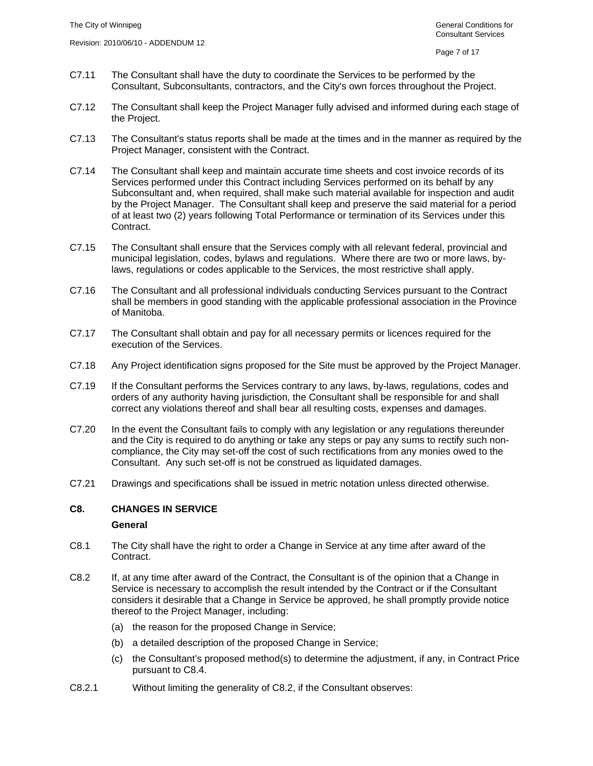- C7.11 The Consultant shall have the duty to coordinate the Services to be performed by the Consultant, Subconsultants, contractors, and the City's own forces throughout the Project.
- C7.12 The Consultant shall keep the Project Manager fully advised and informed during each stage of the Project.
- C7.13 The Consultant's status reports shall be made at the times and in the manner as required by the Project Manager, consistent with the Contract.
- C7.14 The Consultant shall keep and maintain accurate time sheets and cost invoice records of its Services performed under this Contract including Services performed on its behalf by any Subconsultant and, when required, shall make such material available for inspection and audit by the Project Manager. The Consultant shall keep and preserve the said material for a period of at least two (2) years following Total Performance or termination of its Services under this Contract.
- C7.15 The Consultant shall ensure that the Services comply with all relevant federal, provincial and municipal legislation, codes, bylaws and regulations. Where there are two or more laws, bylaws, regulations or codes applicable to the Services, the most restrictive shall apply.
- C7.16 The Consultant and all professional individuals conducting Services pursuant to the Contract shall be members in good standing with the applicable professional association in the Province of Manitoba.
- C7.17 The Consultant shall obtain and pay for all necessary permits or licences required for the execution of the Services.
- C7.18 Any Project identification signs proposed for the Site must be approved by the Project Manager.
- C7.19 If the Consultant performs the Services contrary to any laws, by-laws, regulations, codes and orders of any authority having jurisdiction, the Consultant shall be responsible for and shall correct any violations thereof and shall bear all resulting costs, expenses and damages.
- C7.20 In the event the Consultant fails to comply with any legislation or any regulations thereunder and the City is required to do anything or take any steps or pay any sums to rectify such noncompliance, the City may set-off the cost of such rectifications from any monies owed to the Consultant. Any such set-off is not be construed as liquidated damages.
- C7.21 Drawings and specifications shall be issued in metric notation unless directed otherwise.

#### **C8. CHANGES IN SERVICE**

#### **General**

- C8.1 The City shall have the right to order a Change in Service at any time after award of the Contract.
- C8.2 If, at any time after award of the Contract, the Consultant is of the opinion that a Change in Service is necessary to accomplish the result intended by the Contract or if the Consultant considers it desirable that a Change in Service be approved, he shall promptly provide notice thereof to the Project Manager, including:
	- (a) the reason for the proposed Change in Service;
	- (b) a detailed description of the proposed Change in Service;
	- (c) the Consultant's proposed method(s) to determine the adjustment, if any, in Contract Price pursuant to C8.4.
- C8.2.1 Without limiting the generality of C8.2, if the Consultant observes: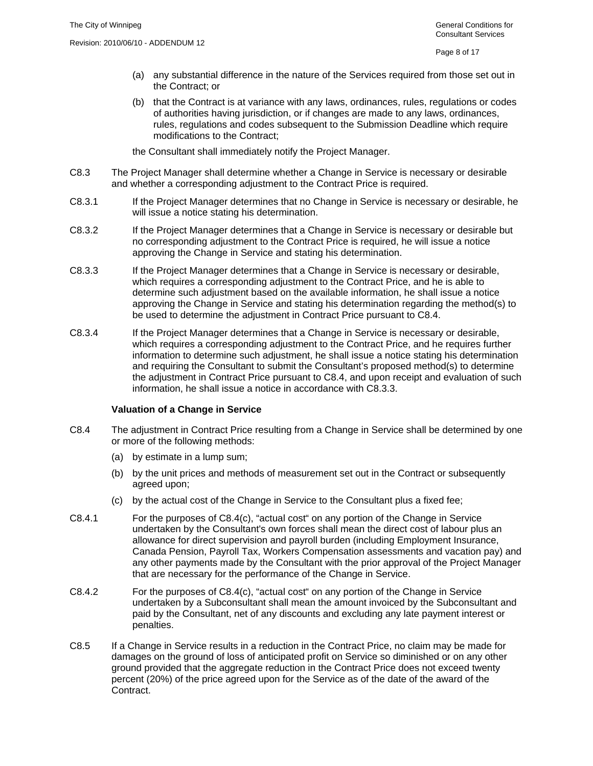- (a) any substantial difference in the nature of the Services required from those set out in the Contract; or
- (b) that the Contract is at variance with any laws, ordinances, rules, regulations or codes of authorities having jurisdiction, or if changes are made to any laws, ordinances, rules, regulations and codes subsequent to the Submission Deadline which require modifications to the Contract;

the Consultant shall immediately notify the Project Manager.

- C8.3 The Project Manager shall determine whether a Change in Service is necessary or desirable and whether a corresponding adjustment to the Contract Price is required.
- C8.3.1 If the Project Manager determines that no Change in Service is necessary or desirable, he will issue a notice stating his determination.
- C8.3.2 If the Project Manager determines that a Change in Service is necessary or desirable but no corresponding adjustment to the Contract Price is required, he will issue a notice approving the Change in Service and stating his determination.
- C8.3.3 If the Project Manager determines that a Change in Service is necessary or desirable, which requires a corresponding adjustment to the Contract Price, and he is able to determine such adjustment based on the available information, he shall issue a notice approving the Change in Service and stating his determination regarding the method(s) to be used to determine the adjustment in Contract Price pursuant to C8.4.
- C8.3.4 If the Project Manager determines that a Change in Service is necessary or desirable, which requires a corresponding adjustment to the Contract Price, and he requires further information to determine such adjustment, he shall issue a notice stating his determination and requiring the Consultant to submit the Consultant's proposed method(s) to determine the adjustment in Contract Price pursuant to C8.4, and upon receipt and evaluation of such information, he shall issue a notice in accordance with C8.3.3.

#### **Valuation of a Change in Service**

- C8.4 The adjustment in Contract Price resulting from a Change in Service shall be determined by one or more of the following methods:
	- (a) by estimate in a lump sum;
	- (b) by the unit prices and methods of measurement set out in the Contract or subsequently agreed upon;
	- (c) by the actual cost of the Change in Service to the Consultant plus a fixed fee;
- C8.4.1 For the purposes of C8.4(c), "actual cost" on any portion of the Change in Service undertaken by the Consultant's own forces shall mean the direct cost of labour plus an allowance for direct supervision and payroll burden (including Employment Insurance, Canada Pension, Payroll Tax, Workers Compensation assessments and vacation pay) and any other payments made by the Consultant with the prior approval of the Project Manager that are necessary for the performance of the Change in Service.
- C8.4.2 For the purposes of C8.4(c), "actual cost" on any portion of the Change in Service undertaken by a Subconsultant shall mean the amount invoiced by the Subconsultant and paid by the Consultant, net of any discounts and excluding any late payment interest or penalties.
- C8.5 If a Change in Service results in a reduction in the Contract Price, no claim may be made for damages on the ground of loss of anticipated profit on Service so diminished or on any other ground provided that the aggregate reduction in the Contract Price does not exceed twenty percent (20%) of the price agreed upon for the Service as of the date of the award of the Contract.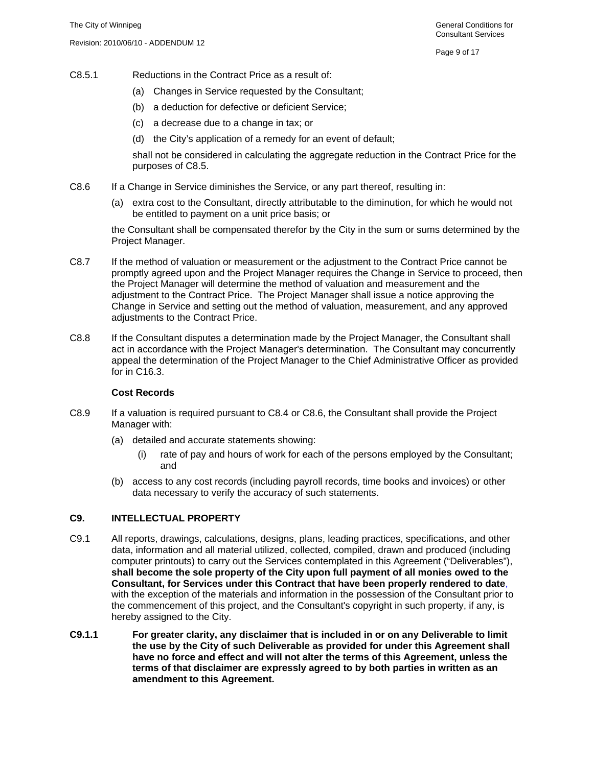- C8.5.1 Reductions in the Contract Price as a result of:
	- (a) Changes in Service requested by the Consultant;
	- (b) a deduction for defective or deficient Service;
	- (c) a decrease due to a change in tax; or
	- (d) the City's application of a remedy for an event of default;

shall not be considered in calculating the aggregate reduction in the Contract Price for the purposes of C8.5.

- C8.6 If a Change in Service diminishes the Service, or any part thereof, resulting in:
	- (a) extra cost to the Consultant, directly attributable to the diminution, for which he would not be entitled to payment on a unit price basis; or

the Consultant shall be compensated therefor by the City in the sum or sums determined by the Project Manager.

- C8.7 If the method of valuation or measurement or the adjustment to the Contract Price cannot be promptly agreed upon and the Project Manager requires the Change in Service to proceed, then the Project Manager will determine the method of valuation and measurement and the adjustment to the Contract Price. The Project Manager shall issue a notice approving the Change in Service and setting out the method of valuation, measurement, and any approved adjustments to the Contract Price.
- C8.8 If the Consultant disputes a determination made by the Project Manager, the Consultant shall act in accordance with the Project Manager's determination. The Consultant may concurrently appeal the determination of the Project Manager to the Chief Administrative Officer as provided for in C16.3.

#### **Cost Records**

- C8.9 If a valuation is required pursuant to C8.4 or C8.6, the Consultant shall provide the Project Manager with:
	- (a) detailed and accurate statements showing:
		- (i) rate of pay and hours of work for each of the persons employed by the Consultant; and
	- (b) access to any cost records (including payroll records, time books and invoices) or other data necessary to verify the accuracy of such statements.

# **C9. INTELLECTUAL PROPERTY**

- C9.1 All reports, drawings, calculations, designs, plans, leading practices, specifications, and other data, information and all material utilized, collected, compiled, drawn and produced (including computer printouts) to carry out the Services contemplated in this Agreement ("Deliverables"), **shall become the sole property of the City upon full payment of all monies owed to the Consultant, for Services under this Contract that have been properly rendered to date**, with the exception of the materials and information in the possession of the Consultant prior to the commencement of this project, and the Consultant's copyright in such property, if any, is hereby assigned to the City.
- **C9.1.1 For greater clarity, any disclaimer that is included in or on any Deliverable to limit the use by the City of such Deliverable as provided for under this Agreement shall have no force and effect and will not alter the terms of this Agreement, unless the terms of that disclaimer are expressly agreed to by both parties in written as an amendment to this Agreement.**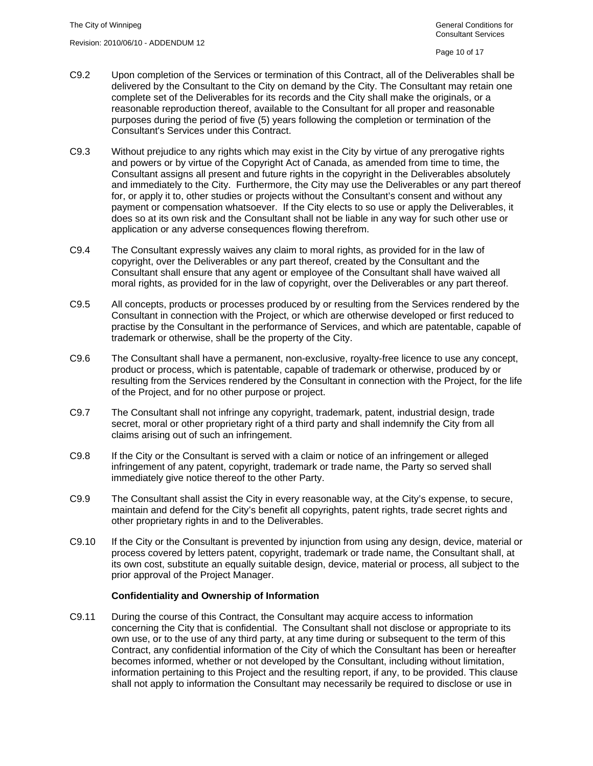- C9.2 Upon completion of the Services or termination of this Contract, all of the Deliverables shall be delivered by the Consultant to the City on demand by the City. The Consultant may retain one complete set of the Deliverables for its records and the City shall make the originals, or a reasonable reproduction thereof, available to the Consultant for all proper and reasonable purposes during the period of five (5) years following the completion or termination of the Consultant's Services under this Contract.
- C9.3 Without prejudice to any rights which may exist in the City by virtue of any prerogative rights and powers or by virtue of the Copyright Act of Canada, as amended from time to time, the Consultant assigns all present and future rights in the copyright in the Deliverables absolutely and immediately to the City. Furthermore, the City may use the Deliverables or any part thereof for, or apply it to, other studies or projects without the Consultant's consent and without any payment or compensation whatsoever. If the City elects to so use or apply the Deliverables, it does so at its own risk and the Consultant shall not be liable in any way for such other use or application or any adverse consequences flowing therefrom.
- C9.4 The Consultant expressly waives any claim to moral rights, as provided for in the law of copyright, over the Deliverables or any part thereof, created by the Consultant and the Consultant shall ensure that any agent or employee of the Consultant shall have waived all moral rights, as provided for in the law of copyright, over the Deliverables or any part thereof.
- C9.5 All concepts, products or processes produced by or resulting from the Services rendered by the Consultant in connection with the Project, or which are otherwise developed or first reduced to practise by the Consultant in the performance of Services, and which are patentable, capable of trademark or otherwise, shall be the property of the City.
- C9.6 The Consultant shall have a permanent, non-exclusive, royalty-free licence to use any concept, product or process, which is patentable, capable of trademark or otherwise, produced by or resulting from the Services rendered by the Consultant in connection with the Project, for the life of the Project, and for no other purpose or project.
- C9.7 The Consultant shall not infringe any copyright, trademark, patent, industrial design, trade secret, moral or other proprietary right of a third party and shall indemnify the City from all claims arising out of such an infringement.
- C9.8 If the City or the Consultant is served with a claim or notice of an infringement or alleged infringement of any patent, copyright, trademark or trade name, the Party so served shall immediately give notice thereof to the other Party.
- C9.9 The Consultant shall assist the City in every reasonable way, at the City's expense, to secure, maintain and defend for the City's benefit all copyrights, patent rights, trade secret rights and other proprietary rights in and to the Deliverables.
- C9.10 If the City or the Consultant is prevented by injunction from using any design, device, material or process covered by letters patent, copyright, trademark or trade name, the Consultant shall, at its own cost, substitute an equally suitable design, device, material or process, all subject to the prior approval of the Project Manager.

# **Confidentiality and Ownership of Information**

C9.11 During the course of this Contract, the Consultant may acquire access to information concerning the City that is confidential. The Consultant shall not disclose or appropriate to its own use, or to the use of any third party, at any time during or subsequent to the term of this Contract, any confidential information of the City of which the Consultant has been or hereafter becomes informed, whether or not developed by the Consultant, including without limitation, information pertaining to this Project and the resulting report, if any, to be provided. This clause shall not apply to information the Consultant may necessarily be required to disclose or use in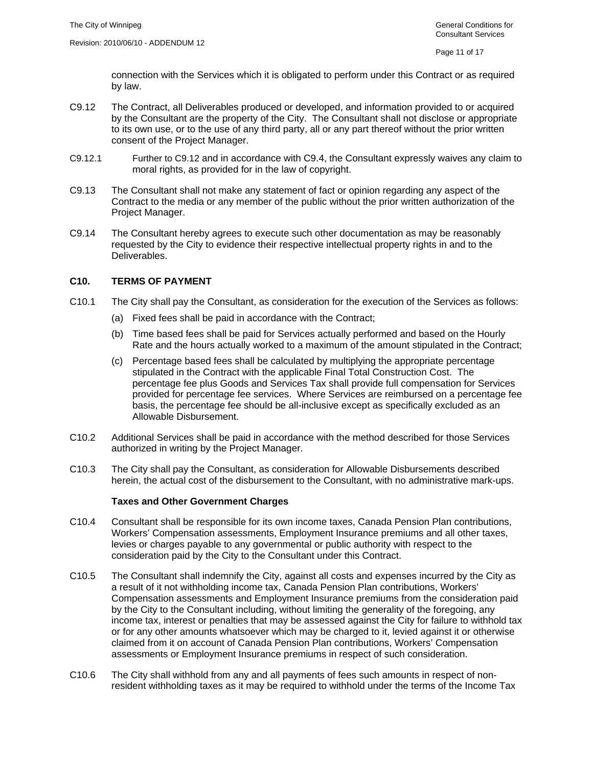connection with the Services which it is obligated to perform under this Contract or as required by law.

- C9.12 The Contract, all Deliverables produced or developed, and information provided to or acquired by the Consultant are the property of the City. The Consultant shall not disclose or appropriate to its own use, or to the use of any third party, all or any part thereof without the prior written consent of the Project Manager.
- C9.12.1 Further to C9.12 and in accordance with C9.4, the Consultant expressly waives any claim to moral rights, as provided for in the law of copyright.
- C9.13 The Consultant shall not make any statement of fact or opinion regarding any aspect of the Contract to the media or any member of the public without the prior written authorization of the Project Manager.
- C9.14 The Consultant hereby agrees to execute such other documentation as may be reasonably requested by the City to evidence their respective intellectual property rights in and to the Deliverables.

#### **C10. TERMS OF PAYMENT**

- C10.1 The City shall pay the Consultant, as consideration for the execution of the Services as follows:
	- (a) Fixed fees shall be paid in accordance with the Contract;
	- (b) Time based fees shall be paid for Services actually performed and based on the Hourly Rate and the hours actually worked to a maximum of the amount stipulated in the Contract;
	- (c) Percentage based fees shall be calculated by multiplying the appropriate percentage stipulated in the Contract with the applicable Final Total Construction Cost. The percentage fee plus Goods and Services Tax shall provide full compensation for Services provided for percentage fee services. Where Services are reimbursed on a percentage fee basis, the percentage fee should be all-inclusive except as specifically excluded as an Allowable Disbursement.
- C10.2 Additional Services shall be paid in accordance with the method described for those Services authorized in writing by the Project Manager.
- C10.3 The City shall pay the Consultant, as consideration for Allowable Disbursements described herein, the actual cost of the disbursement to the Consultant, with no administrative mark-ups.

#### **Taxes and Other Government Charges**

- C10.4 Consultant shall be responsible for its own income taxes, Canada Pension Plan contributions, Workers' Compensation assessments, Employment Insurance premiums and all other taxes, levies or charges payable to any governmental or public authority with respect to the consideration paid by the City to the Consultant under this Contract.
- C10.5 The Consultant shall indemnify the City, against all costs and expenses incurred by the City as a result of it not withholding income tax, Canada Pension Plan contributions, Workers' Compensation assessments and Employment Insurance premiums from the consideration paid by the City to the Consultant including, without limiting the generality of the foregoing, any income tax, interest or penalties that may be assessed against the City for failure to withhold tax or for any other amounts whatsoever which may be charged to it, levied against it or otherwise claimed from it on account of Canada Pension Plan contributions, Workers' Compensation assessments or Employment Insurance premiums in respect of such consideration.
- C10.6 The City shall withhold from any and all payments of fees such amounts in respect of nonresident withholding taxes as it may be required to withhold under the terms of the Income Tax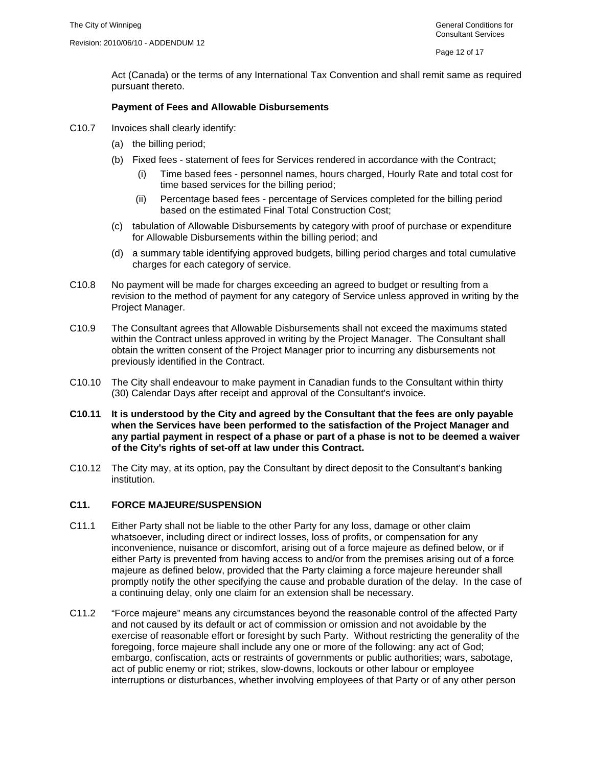Act (Canada) or the terms of any International Tax Convention and shall remit same as required pursuant thereto.

#### **Payment of Fees and Allowable Disbursements**

- C10.7 Invoices shall clearly identify:
	- (a) the billing period;
	- (b) Fixed fees statement of fees for Services rendered in accordance with the Contract;
		- (i) Time based fees personnel names, hours charged, Hourly Rate and total cost for time based services for the billing period;
		- (ii) Percentage based fees percentage of Services completed for the billing period based on the estimated Final Total Construction Cost;
	- (c) tabulation of Allowable Disbursements by category with proof of purchase or expenditure for Allowable Disbursements within the billing period; and
	- (d) a summary table identifying approved budgets, billing period charges and total cumulative charges for each category of service.
- C10.8 No payment will be made for charges exceeding an agreed to budget or resulting from a revision to the method of payment for any category of Service unless approved in writing by the Project Manager.
- C10.9 The Consultant agrees that Allowable Disbursements shall not exceed the maximums stated within the Contract unless approved in writing by the Project Manager. The Consultant shall obtain the written consent of the Project Manager prior to incurring any disbursements not previously identified in the Contract.
- C10.10 The City shall endeavour to make payment in Canadian funds to the Consultant within thirty (30) Calendar Days after receipt and approval of the Consultant's invoice.
- **C10.11 It is understood by the City and agreed by the Consultant that the fees are only payable when the Services have been performed to the satisfaction of the Project Manager and any partial payment in respect of a phase or part of a phase is not to be deemed a waiver of the City's rights of set-off at law under this Contract.**
- C10.12 The City may, at its option, pay the Consultant by direct deposit to the Consultant's banking institution.

# **C11. FORCE MAJEURE/SUSPENSION**

- C11.1 Either Party shall not be liable to the other Party for any loss, damage or other claim whatsoever, including direct or indirect losses, loss of profits, or compensation for any inconvenience, nuisance or discomfort, arising out of a force majeure as defined below, or if either Party is prevented from having access to and/or from the premises arising out of a force majeure as defined below, provided that the Party claiming a force majeure hereunder shall promptly notify the other specifying the cause and probable duration of the delay. In the case of a continuing delay, only one claim for an extension shall be necessary.
- C11.2 "Force majeure" means any circumstances beyond the reasonable control of the affected Party and not caused by its default or act of commission or omission and not avoidable by the exercise of reasonable effort or foresight by such Party. Without restricting the generality of the foregoing, force majeure shall include any one or more of the following: any act of God; embargo, confiscation, acts or restraints of governments or public authorities; wars, sabotage, act of public enemy or riot; strikes, slow-downs, lockouts or other labour or employee interruptions or disturbances, whether involving employees of that Party or of any other person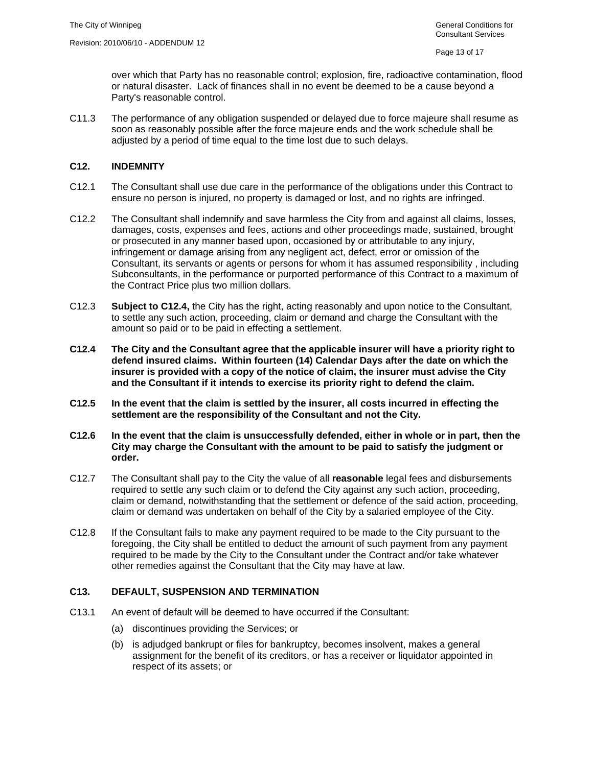over which that Party has no reasonable control; explosion, fire, radioactive contamination, flood or natural disaster. Lack of finances shall in no event be deemed to be a cause beyond a Party's reasonable control.

C11.3 The performance of any obligation suspended or delayed due to force majeure shall resume as soon as reasonably possible after the force majeure ends and the work schedule shall be adjusted by a period of time equal to the time lost due to such delays.

#### **C12. INDEMNITY**

- C12.1 The Consultant shall use due care in the performance of the obligations under this Contract to ensure no person is injured, no property is damaged or lost, and no rights are infringed.
- C12.2 The Consultant shall indemnify and save harmless the City from and against all claims, losses, damages, costs, expenses and fees, actions and other proceedings made, sustained, brought or prosecuted in any manner based upon, occasioned by or attributable to any injury, infringement or damage arising from any negligent act, defect, error or omission of the Consultant, its servants or agents or persons for whom it has assumed responsibility , including Subconsultants, in the performance or purported performance of this Contract to a maximum of the Contract Price plus two million dollars.
- C12.3 **Subject to C12.4,** the City has the right, acting reasonably and upon notice to the Consultant, to settle any such action, proceeding, claim or demand and charge the Consultant with the amount so paid or to be paid in effecting a settlement.
- **C12.4 The City and the Consultant agree that the applicable insurer will have a priority right to defend insured claims. Within fourteen (14) Calendar Days after the date on which the insurer is provided with a copy of the notice of claim, the insurer must advise the City and the Consultant if it intends to exercise its priority right to defend the claim.**
- **C12.5 In the event that the claim is settled by the insurer, all costs incurred in effecting the settlement are the responsibility of the Consultant and not the City.**
- **C12.6 In the event that the claim is unsuccessfully defended, either in whole or in part, then the City may charge the Consultant with the amount to be paid to satisfy the judgment or order.**
- C12.7 The Consultant shall pay to the City the value of all **reasonable** legal fees and disbursements required to settle any such claim or to defend the City against any such action, proceeding, claim or demand, notwithstanding that the settlement or defence of the said action, proceeding, claim or demand was undertaken on behalf of the City by a salaried employee of the City.
- C12.8 If the Consultant fails to make any payment required to be made to the City pursuant to the foregoing, the City shall be entitled to deduct the amount of such payment from any payment required to be made by the City to the Consultant under the Contract and/or take whatever other remedies against the Consultant that the City may have at law.

# **C13. DEFAULT, SUSPENSION AND TERMINATION**

- C13.1 An event of default will be deemed to have occurred if the Consultant:
	- (a) discontinues providing the Services; or
	- (b) is adjudged bankrupt or files for bankruptcy, becomes insolvent, makes a general assignment for the benefit of its creditors, or has a receiver or liquidator appointed in respect of its assets; or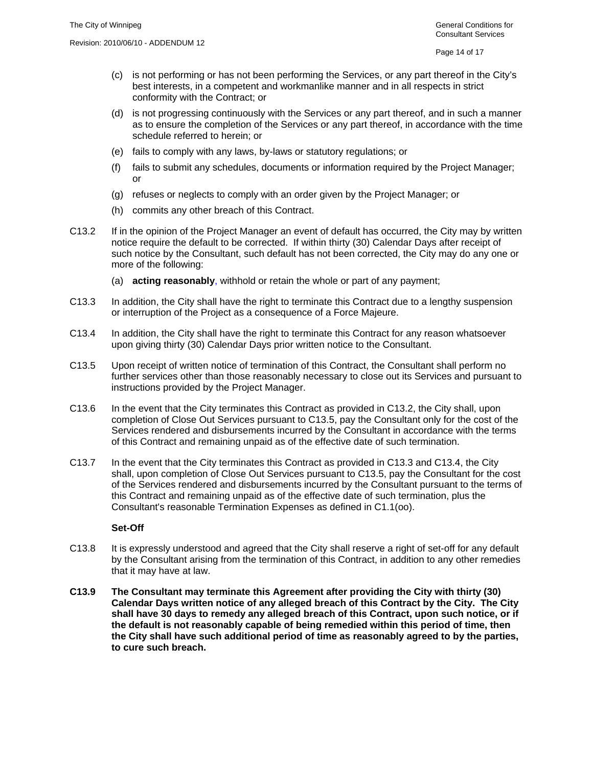- (c) is not performing or has not been performing the Services, or any part thereof in the City's best interests, in a competent and workmanlike manner and in all respects in strict conformity with the Contract; or
- (d) is not progressing continuously with the Services or any part thereof, and in such a manner as to ensure the completion of the Services or any part thereof, in accordance with the time schedule referred to herein; or
- (e) fails to comply with any laws, by-laws or statutory regulations; or
- (f) fails to submit any schedules, documents or information required by the Project Manager; or
- (g) refuses or neglects to comply with an order given by the Project Manager; or
- (h) commits any other breach of this Contract.
- C13.2 If in the opinion of the Project Manager an event of default has occurred, the City may by written notice require the default to be corrected. If within thirty (30) Calendar Days after receipt of such notice by the Consultant, such default has not been corrected, the City may do any one or more of the following:
	- (a) **acting reasonably**, withhold or retain the whole or part of any payment;
- C13.3 In addition, the City shall have the right to terminate this Contract due to a lengthy suspension or interruption of the Project as a consequence of a Force Majeure.
- C13.4 In addition, the City shall have the right to terminate this Contract for any reason whatsoever upon giving thirty (30) Calendar Days prior written notice to the Consultant.
- C13.5 Upon receipt of written notice of termination of this Contract, the Consultant shall perform no further services other than those reasonably necessary to close out its Services and pursuant to instructions provided by the Project Manager.
- C13.6 In the event that the City terminates this Contract as provided in C13.2, the City shall, upon completion of Close Out Services pursuant to C13.5, pay the Consultant only for the cost of the Services rendered and disbursements incurred by the Consultant in accordance with the terms of this Contract and remaining unpaid as of the effective date of such termination.
- C13.7 In the event that the City terminates this Contract as provided in C13.3 and C13.4, the City shall, upon completion of Close Out Services pursuant to C13.5, pay the Consultant for the cost of the Services rendered and disbursements incurred by the Consultant pursuant to the terms of this Contract and remaining unpaid as of the effective date of such termination, plus the Consultant's reasonable Termination Expenses as defined in C1.1(oo).

#### **Set-Off**

- C13.8 It is expressly understood and agreed that the City shall reserve a right of set-off for any default by the Consultant arising from the termination of this Contract, in addition to any other remedies that it may have at law.
- **C13.9 The Consultant may terminate this Agreement after providing the City with thirty (30) Calendar Days written notice of any alleged breach of this Contract by the City. The City shall have 30 days to remedy any alleged breach of this Contract, upon such notice, or if the default is not reasonably capable of being remedied within this period of time, then the City shall have such additional period of time as reasonably agreed to by the parties, to cure such breach.**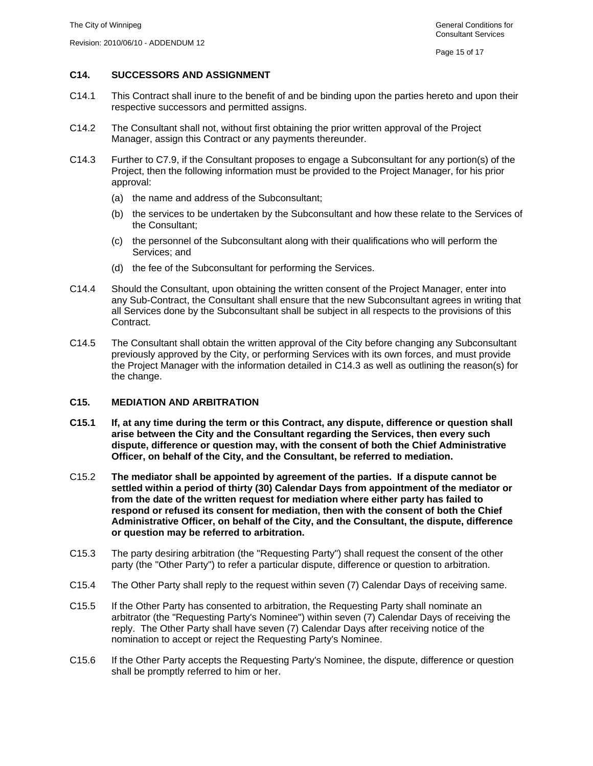# **C14. SUCCESSORS AND ASSIGNMENT**

- C14.1 This Contract shall inure to the benefit of and be binding upon the parties hereto and upon their respective successors and permitted assigns.
- C14.2 The Consultant shall not, without first obtaining the prior written approval of the Project Manager, assign this Contract or any payments thereunder.
- C14.3 Further to C7.9, if the Consultant proposes to engage a Subconsultant for any portion(s) of the Project, then the following information must be provided to the Project Manager, for his prior approval:
	- (a) the name and address of the Subconsultant;
	- (b) the services to be undertaken by the Subconsultant and how these relate to the Services of the Consultant;
	- (c) the personnel of the Subconsultant along with their qualifications who will perform the Services; and
	- (d) the fee of the Subconsultant for performing the Services.
- C14.4 Should the Consultant, upon obtaining the written consent of the Project Manager, enter into any Sub-Contract, the Consultant shall ensure that the new Subconsultant agrees in writing that all Services done by the Subconsultant shall be subject in all respects to the provisions of this Contract.
- C14.5 The Consultant shall obtain the written approval of the City before changing any Subconsultant previously approved by the City, or performing Services with its own forces, and must provide the Project Manager with the information detailed in C14.3 as well as outlining the reason(s) for the change.

#### **C15. MEDIATION AND ARBITRATION**

- **C15.1 If, at any time during the term or this Contract, any dispute, difference or question shall arise between the City and the Consultant regarding the Services, then every such dispute, difference or question may, with the consent of both the Chief Administrative Officer, on behalf of the City, and the Consultant, be referred to mediation.**
- C15.2 **The mediator shall be appointed by agreement of the parties. If a dispute cannot be settled within a period of thirty (30) Calendar Days from appointment of the mediator or from the date of the written request for mediation where either party has failed to respond or refused its consent for mediation, then with the consent of both the Chief Administrative Officer, on behalf of the City, and the Consultant, the dispute, difference or question may be referred to arbitration.**
- C15.3 The party desiring arbitration (the "Requesting Party") shall request the consent of the other party (the "Other Party") to refer a particular dispute, difference or question to arbitration.
- C15.4 The Other Party shall reply to the request within seven (7) Calendar Days of receiving same.
- C15.5 If the Other Party has consented to arbitration, the Requesting Party shall nominate an arbitrator (the "Requesting Party's Nominee") within seven (7) Calendar Days of receiving the reply. The Other Party shall have seven (7) Calendar Days after receiving notice of the nomination to accept or reject the Requesting Party's Nominee.
- C15.6 If the Other Party accepts the Requesting Party's Nominee, the dispute, difference or question shall be promptly referred to him or her.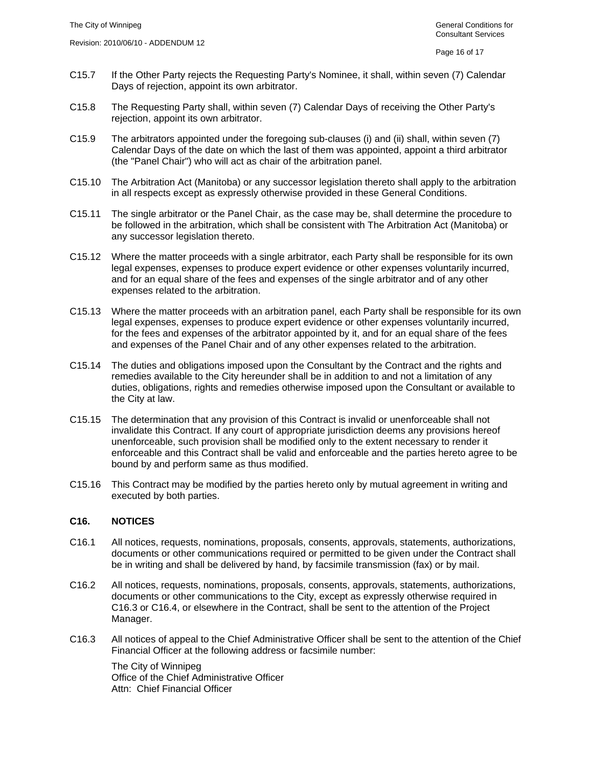- C15.7 If the Other Party rejects the Requesting Party's Nominee, it shall, within seven (7) Calendar Days of rejection, appoint its own arbitrator.
- C15.8 The Requesting Party shall, within seven (7) Calendar Days of receiving the Other Party's rejection, appoint its own arbitrator.
- C15.9 The arbitrators appointed under the foregoing sub-clauses (i) and (ii) shall, within seven (7) Calendar Days of the date on which the last of them was appointed, appoint a third arbitrator (the "Panel Chair") who will act as chair of the arbitration panel.
- C15.10 The Arbitration Act (Manitoba) or any successor legislation thereto shall apply to the arbitration in all respects except as expressly otherwise provided in these General Conditions.
- C15.11 The single arbitrator or the Panel Chair, as the case may be, shall determine the procedure to be followed in the arbitration, which shall be consistent with The Arbitration Act (Manitoba) or any successor legislation thereto.
- C15.12 Where the matter proceeds with a single arbitrator, each Party shall be responsible for its own legal expenses, expenses to produce expert evidence or other expenses voluntarily incurred, and for an equal share of the fees and expenses of the single arbitrator and of any other expenses related to the arbitration.
- C15.13 Where the matter proceeds with an arbitration panel, each Party shall be responsible for its own legal expenses, expenses to produce expert evidence or other expenses voluntarily incurred, for the fees and expenses of the arbitrator appointed by it, and for an equal share of the fees and expenses of the Panel Chair and of any other expenses related to the arbitration.
- C15.14 The duties and obligations imposed upon the Consultant by the Contract and the rights and remedies available to the City hereunder shall be in addition to and not a limitation of any duties, obligations, rights and remedies otherwise imposed upon the Consultant or available to the City at law.
- C15.15 The determination that any provision of this Contract is invalid or unenforceable shall not invalidate this Contract. If any court of appropriate jurisdiction deems any provisions hereof unenforceable, such provision shall be modified only to the extent necessary to render it enforceable and this Contract shall be valid and enforceable and the parties hereto agree to be bound by and perform same as thus modified.
- C15.16 This Contract may be modified by the parties hereto only by mutual agreement in writing and executed by both parties.

#### **C16. NOTICES**

- C16.1 All notices, requests, nominations, proposals, consents, approvals, statements, authorizations, documents or other communications required or permitted to be given under the Contract shall be in writing and shall be delivered by hand, by facsimile transmission (fax) or by mail.
- C16.2 All notices, requests, nominations, proposals, consents, approvals, statements, authorizations, documents or other communications to the City, except as expressly otherwise required in C16.3 or C16.4, or elsewhere in the Contract, shall be sent to the attention of the Project Manager.
- C16.3 All notices of appeal to the Chief Administrative Officer shall be sent to the attention of the Chief Financial Officer at the following address or facsimile number:

The City of Winnipeg Office of the Chief Administrative Officer Attn: Chief Financial Officer